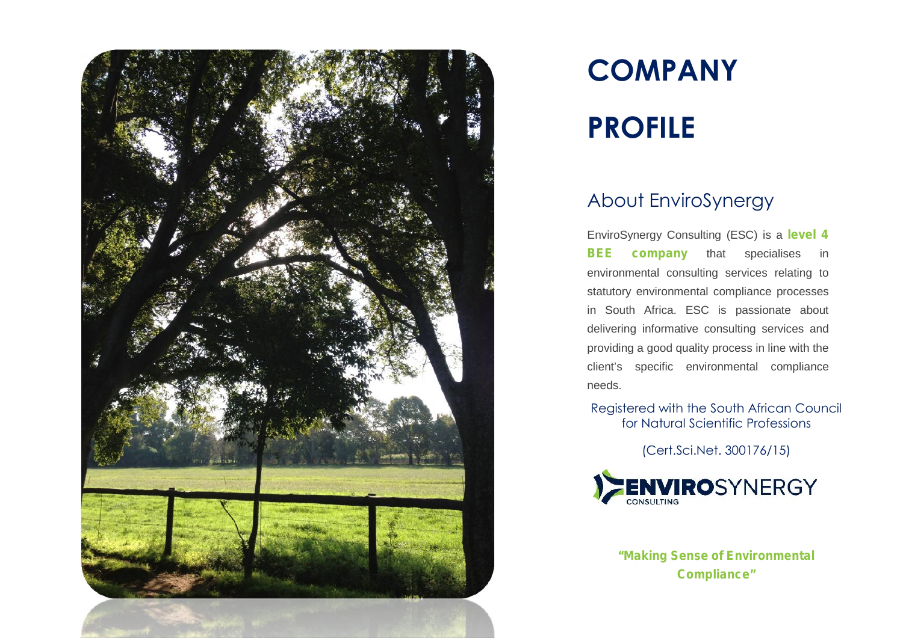

# **COMPANY**

## **PROFILE**

#### About EnviroSynergy

EnviroSynergy Consulting (ESC) is a **level 4 BEE company** that specialises in environmental consulting services relating to statutory environmental compliance processes in South Africa. ESC is passionate about delivering informative consulting services and providing a good quality process in line with the client's specific environmental compliance needs.

Registered with the South African Council for Natural Scientific Professions

(Cert.Sci.Net. 300176/15)



**"Making Sense of Environmental Compliance"**